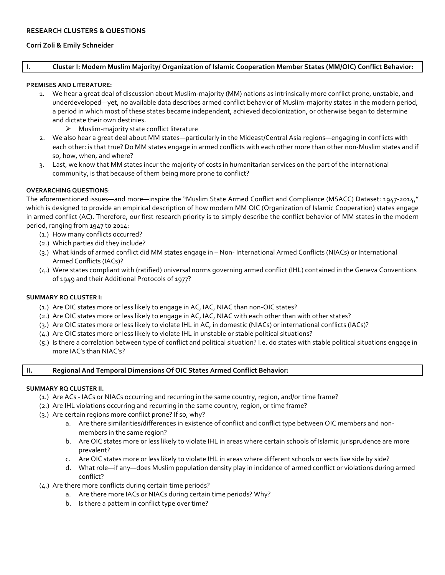# **Corri Zoli & Emily Schneider**

# **I.** Cluster I: Modern Muslim Majority/ Organization of Islamic Cooperation Member States (MM/OIC) Conflict Behavior:

#### **PREMISES AND LITERATURE:**

- 1. We hear a great deal of discussion about Muslim-majority (MM) nations as intrinsically more conflict prone, unstable, and underdeveloped—yet, no available data describes armed conflict behavior of Muslim-majority states in the modern period, a period in which most of these states became independent, achieved decolonization, or otherwise began to determine and dictate their own destinies.
	- $\triangleright$  Muslim-majority state conflict literature
- 2. We also hear a great deal about MM states—particularly in the Mideast/Central Asia regions—engaging in conflicts with each other: is that true? Do MM states engage in armed conflicts with each other more than other non-Muslim states and if so, how, when, and where?
- 3. Last, we know that MM states incur the majority of costs in humanitarian services on the part of the international community, is that because of them being more prone to conflict?

## **OVERARCHING QUESTIONS**:

The aforementioned issues—and more—inspire the "Muslim State Armed Conflict and Compliance (MSACC) Dataset: 1947-2014," which is designed to provide an empirical description of how modern MM OIC (Organization of Islamic Cooperation) states engage in armed conflict (AC). Therefore, our first research priority is to simply describe the conflict behavior of MM states in the modern period, ranging from 1947 to 2014:

- (1.) How many conflicts occurred?
- (2.) Which parties did they include?
- (3.) What kinds of armed conflict did MM states engage in Non- International Armed Conflicts (NIACs) or International Armed Conflicts (IACs)?
- (4.) Were states compliant with (ratified) universal norms governing armed conflict (IHL) contained in the Geneva Conventions of 1949 and their Additional Protocols of 1977?

## **SUMMARY RQ CLUSTER I:**

- (1.) Are OIC states more or less likely to engage in AC, IAC, NIAC than non-OIC states?
- (2.) Are OIC states more or less likely to engage in AC, IAC, NIAC with each other than with other states?
- (3.) Are OIC states more or less likely to violate IHL in AC, in domestic (NIACs) or international conflicts (IACs)?
- (4.) Are OIC states more or less likely to violate IHL in unstable or stable political situations?
- (5.) Is there a correlation between type of conflict and political situation? I.e. do states with stable political situations engage in more IAC's than NIAC's?

## **II. Regional And Temporal Dimensions Of OIC States Armed Conflict Behavior:**

## **SUMMARY RO CLUSTER II.**

- (1.) Are ACs IACs or NIACs occurring and recurring in the same country, region, and/or time frame?
- (2.) Are IHL violations occurring and recurring in the same country, region, or time frame?
- (3.) Are certain regions more conflict prone? If so, why?
	- a. Are there similarities/differences in existence of conflict and conflict type between OIC members and nonmembers in the same region?
	- b. Are OIC states more or less likely to violate IHL in areas where certain schools of Islamic jurisprudence are more prevalent?
	- c. Are OIC states more or less likely to violate IHL in areas where different schools or sects live side by side?
	- d. What role—if any—does Muslim population density play in incidence of armed conflict or violations during armed conflict?
- $(4.)$  Are there more conflicts during certain time periods?
	- a. Are there more IACs or NIACs during certain time periods? Why?
	- b. Is there a pattern in conflict type over time?